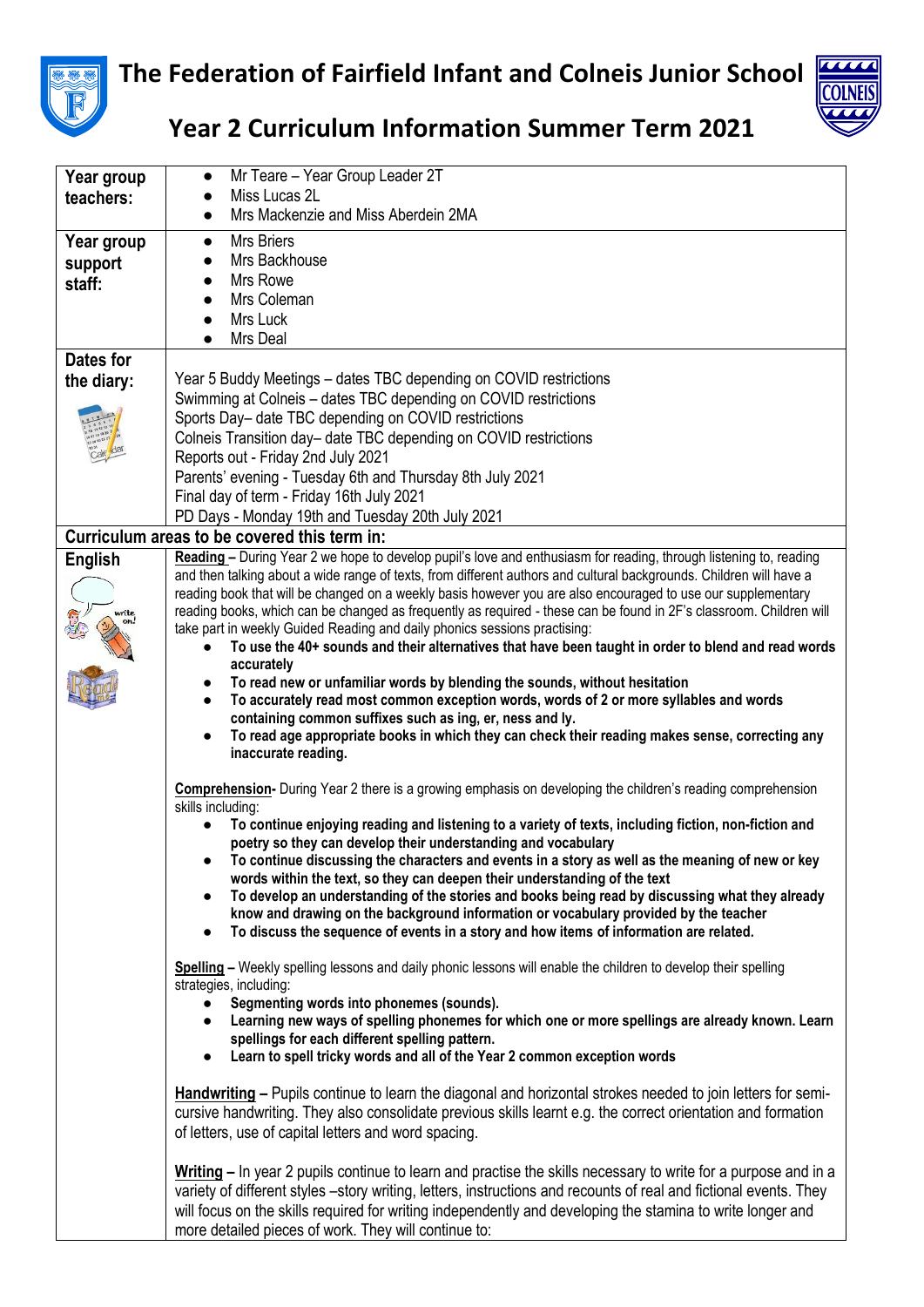



## **Year 2 Curriculum Information Summer Term 2021**

| Year group | Mr Teare - Year Group Leader 2T<br>$\bullet$                                                                               |
|------------|----------------------------------------------------------------------------------------------------------------------------|
| teachers:  | Miss Lucas 2L                                                                                                              |
|            | Mrs Mackenzie and Miss Aberdein 2MA                                                                                        |
| Year group | <b>Mrs Briers</b><br>$\bullet$                                                                                             |
| support    | Mrs Backhouse                                                                                                              |
|            | Mrs Rowe                                                                                                                   |
| staff:     | Mrs Coleman                                                                                                                |
|            | Mrs Luck                                                                                                                   |
|            |                                                                                                                            |
|            | Mrs Deal                                                                                                                   |
| Dates for  |                                                                                                                            |
| the diary: | Year 5 Buddy Meetings - dates TBC depending on COVID restrictions                                                          |
|            | Swimming at Colneis - dates TBC depending on COVID restrictions                                                            |
|            | Sports Day- date TBC depending on COVID restrictions                                                                       |
|            | Colneis Transition day- date TBC depending on COVID restrictions                                                           |
|            | Reports out - Friday 2nd July 2021                                                                                         |
|            | Parents' evening - Tuesday 6th and Thursday 8th July 2021                                                                  |
|            | Final day of term - Friday 16th July 2021                                                                                  |
|            | PD Days - Monday 19th and Tuesday 20th July 2021                                                                           |
|            | Curriculum areas to be covered this term in:                                                                               |
| English    | Reading - During Year 2 we hope to develop pupil's love and enthusiasm for reading, through listening to, reading          |
|            | and then talking about a wide range of texts, from different authors and cultural backgrounds. Children will have a        |
|            | reading book that will be changed on a weekly basis however you are also encouraged to use our supplementary               |
|            | reading books, which can be changed as frequently as required - these can be found in 2F's classroom. Children will        |
|            | take part in weekly Guided Reading and daily phonics sessions practising:                                                  |
|            | To use the 40+ sounds and their alternatives that have been taught in order to blend and read words<br>$\bullet$           |
|            | accurately                                                                                                                 |
|            | To read new or unfamiliar words by blending the sounds, without hesitation                                                 |
|            | To accurately read most common exception words, words of 2 or more syllables and words<br>$\bullet$                        |
|            | containing common suffixes such as ing, er, ness and ly.                                                                   |
|            | To read age appropriate books in which they can check their reading makes sense, correcting any                            |
|            | inaccurate reading.                                                                                                        |
|            | Comprehension- During Year 2 there is a growing emphasis on developing the children's reading comprehension                |
|            | skills including:                                                                                                          |
|            | To continue enjoying reading and listening to a variety of texts, including fiction, non-fiction and                       |
|            | poetry so they can develop their understanding and vocabulary                                                              |
|            | To continue discussing the characters and events in a story as well as the meaning of new or key                           |
|            | words within the text, so they can deepen their understanding of the text                                                  |
|            | To develop an understanding of the stories and books being read by discussing what they already<br>$\bullet$               |
|            | know and drawing on the background information or vocabulary provided by the teacher                                       |
|            | To discuss the sequence of events in a story and how items of information are related.<br>$\bullet$                        |
|            |                                                                                                                            |
|            | Spelling - Weekly spelling lessons and daily phonic lessons will enable the children to develop their spelling             |
|            | strategies, including:                                                                                                     |
|            | Segmenting words into phonemes (sounds).                                                                                   |
|            | Learning new ways of spelling phonemes for which one or more spellings are already known. Learn                            |
|            | spellings for each different spelling pattern.<br>Learn to spell tricky words and all of the Year 2 common exception words |
|            |                                                                                                                            |
|            | Handwriting - Pupils continue to learn the diagonal and horizontal strokes needed to join letters for semi-                |
|            | cursive handwriting. They also consolidate previous skills learnt e.g. the correct orientation and formation               |
|            | of letters, use of capital letters and word spacing.                                                                       |
|            |                                                                                                                            |
|            | Writing - In year 2 pupils continue to learn and practise the skills necessary to write for a purpose and in a             |
|            |                                                                                                                            |
|            | variety of different styles -story writing, letters, instructions and recounts of real and fictional events. They          |
|            | will focus on the skills required for writing independently and developing the stamina to write longer and                 |
|            | more detailed pieces of work. They will continue to:                                                                       |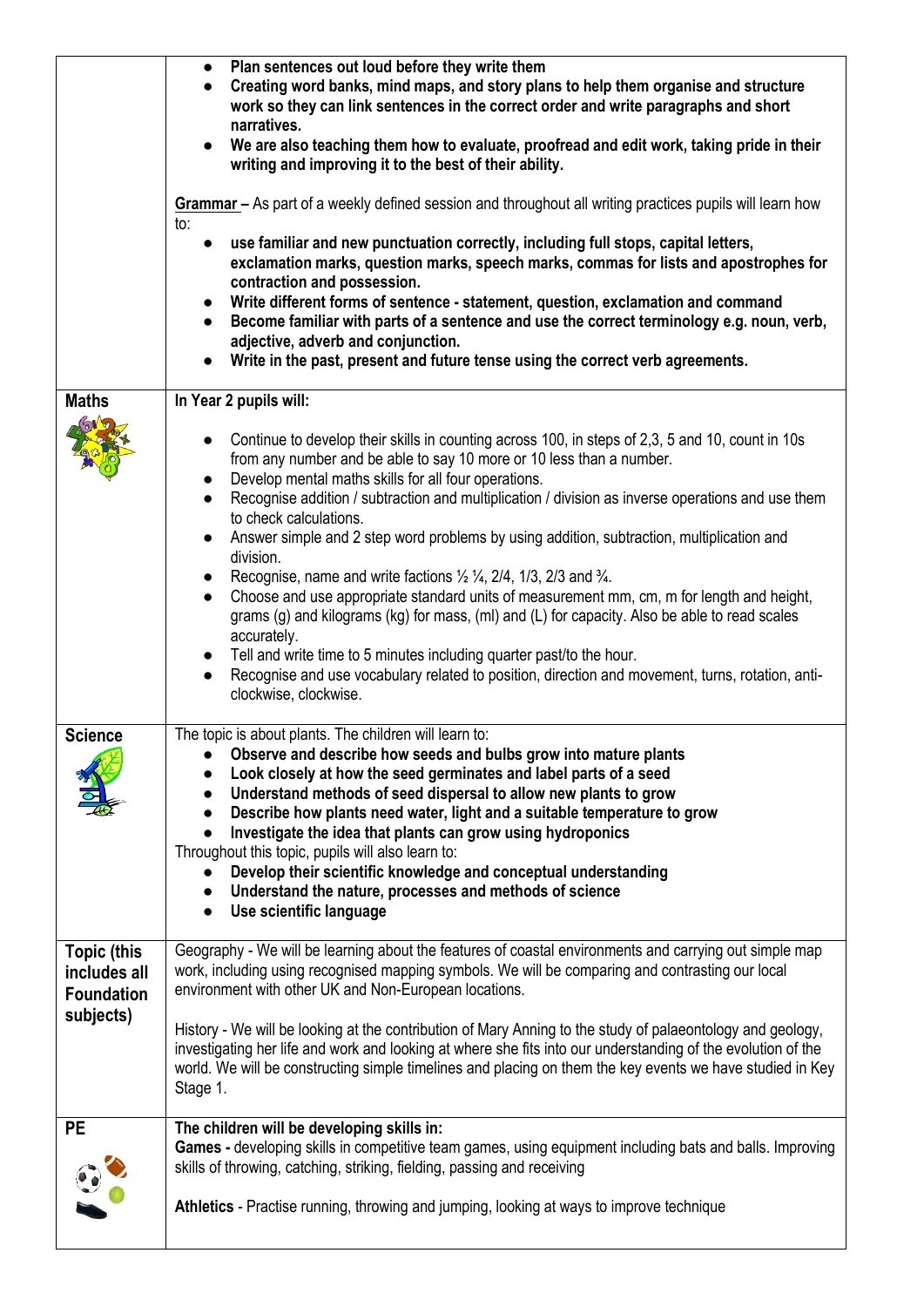|                                                                      | Plan sentences out loud before they write them<br>$\bullet$<br>Creating word banks, mind maps, and story plans to help them organise and structure<br>work so they can link sentences in the correct order and write paragraphs and short<br>narratives.<br>We are also teaching them how to evaluate, proofread and edit work, taking pride in their<br>$\bullet$<br>writing and improving it to the best of their ability.<br>Grammar - As part of a weekly defined session and throughout all writing practices pupils will learn how<br>to:<br>use familiar and new punctuation correctly, including full stops, capital letters,<br>$\bullet$<br>exclamation marks, question marks, speech marks, commas for lists and apostrophes for<br>contraction and possession.<br>Write different forms of sentence - statement, question, exclamation and command<br>$\bullet$<br>Become familiar with parts of a sentence and use the correct terminology e.g. noun, verb,<br>$\bullet$<br>adjective, adverb and conjunction.<br>Write in the past, present and future tense using the correct verb agreements. |
|----------------------------------------------------------------------|---------------------------------------------------------------------------------------------------------------------------------------------------------------------------------------------------------------------------------------------------------------------------------------------------------------------------------------------------------------------------------------------------------------------------------------------------------------------------------------------------------------------------------------------------------------------------------------------------------------------------------------------------------------------------------------------------------------------------------------------------------------------------------------------------------------------------------------------------------------------------------------------------------------------------------------------------------------------------------------------------------------------------------------------------------------------------------------------------------------|
| <b>Maths</b>                                                         | In Year 2 pupils will:                                                                                                                                                                                                                                                                                                                                                                                                                                                                                                                                                                                                                                                                                                                                                                                                                                                                                                                                                                                                                                                                                        |
|                                                                      | Continue to develop their skills in counting across 100, in steps of 2,3, 5 and 10, count in 10s<br>from any number and be able to say 10 more or 10 less than a number.<br>Develop mental maths skills for all four operations.<br>$\bullet$<br>Recognise addition / subtraction and multiplication / division as inverse operations and use them<br>$\bullet$<br>to check calculations.<br>Answer simple and 2 step word problems by using addition, subtraction, multiplication and<br>division.<br>Recognise, name and write factions $\frac{1}{2}$ $\frac{1}{4}$ , 2/4, 1/3, 2/3 and $\frac{3}{4}$ .<br>$\bullet$<br>Choose and use appropriate standard units of measurement mm, cm, m for length and height,<br>$\bullet$<br>grams (g) and kilograms (kg) for mass, (ml) and (L) for capacity. Also be able to read scales<br>accurately.<br>Tell and write time to 5 minutes including quarter past/to the hour.<br>$\bullet$<br>Recognise and use vocabulary related to position, direction and movement, turns, rotation, anti-<br>clockwise, clockwise.                                            |
| <b>Science</b>                                                       | The topic is about plants. The children will learn to:<br>• Observe and describe how seeds and bulbs grow into mature plants<br>Look closely at how the seed germinates and label parts of a seed<br>Understand methods of seed dispersal to allow new plants to grow<br>Describe how plants need water, light and a suitable temperature to grow<br>Investigate the idea that plants can grow using hydroponics<br>$\bullet$<br>Throughout this topic, pupils will also learn to:<br>Develop their scientific knowledge and conceptual understanding<br>$\bullet$<br>Understand the nature, processes and methods of science<br>Use scientific language<br>$\bullet$                                                                                                                                                                                                                                                                                                                                                                                                                                         |
| <b>Topic (this</b><br>includes all<br><b>Foundation</b><br>subjects) | Geography - We will be learning about the features of coastal environments and carrying out simple map<br>work, including using recognised mapping symbols. We will be comparing and contrasting our local<br>environment with other UK and Non-European locations.<br>History - We will be looking at the contribution of Mary Anning to the study of palaeontology and geology,<br>investigating her life and work and looking at where she fits into our understanding of the evolution of the<br>world. We will be constructing simple timelines and placing on them the key events we have studied in Key<br>Stage 1.                                                                                                                                                                                                                                                                                                                                                                                                                                                                                    |
| PE                                                                   | The children will be developing skills in:<br>Games - developing skills in competitive team games, using equipment including bats and balls. Improving<br>skills of throwing, catching, striking, fielding, passing and receiving<br>Athletics - Practise running, throwing and jumping, looking at ways to improve technique                                                                                                                                                                                                                                                                                                                                                                                                                                                                                                                                                                                                                                                                                                                                                                                 |